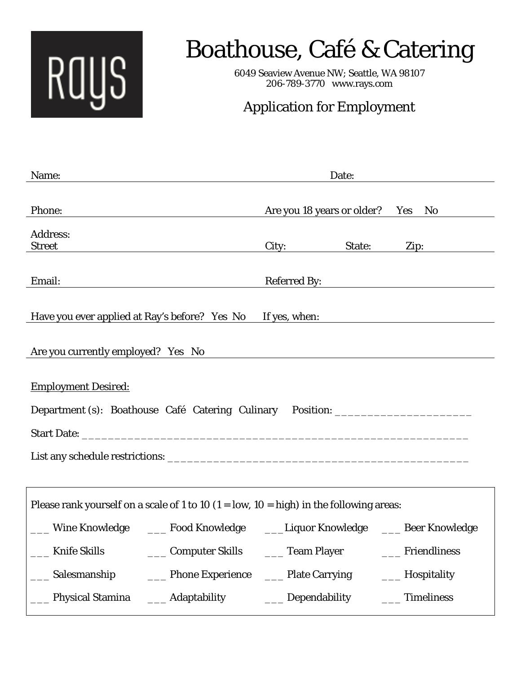

## Boathouse, Café & Catering

6049 Seaview Avenue NW; Seattle, WA 98107 206-789-3770 www.rays.com

## Application for Employment

| Name:                                                                                                          | Date:                               |                  |  |
|----------------------------------------------------------------------------------------------------------------|-------------------------------------|------------------|--|
| Phone:                                                                                                         | Are you 18 years or older? Yes      | No               |  |
| <b>Address:</b><br><b>Street</b>                                                                               | State:<br>City:                     | Zip:             |  |
| Email:                                                                                                         | Referred By:                        |                  |  |
| Have you ever applied at Ray's before? Yes No If yes, when:                                                    |                                     |                  |  |
| Are you currently employed? Yes No                                                                             |                                     |                  |  |
| <b>Employment Desired:</b><br>Department (s): Boathouse Café Catering Culinary Position: _____________________ |                                     |                  |  |
| Please rank yourself on a scale of 1 to 10 $(1 = low, 10 = high)$ in the following areas:                      |                                     |                  |  |
| Wine Knowledge ______ Food Knowledge _______Liquor Knowledge ______ Beer Knowledge                             |                                     |                  |  |
| <b>Knife Skills</b>                                                                                            | Computer Skills _______ Team Player | ___ Friendliness |  |
| ____ Salesmanship<br>____ Phone Experience                                                                     | ____ Plate Carrying                 | ___ Hospitality  |  |
| ____ Adaptability<br>____ Physical Stamina                                                                     | ___ Dependability                   | ____ Timeliness  |  |